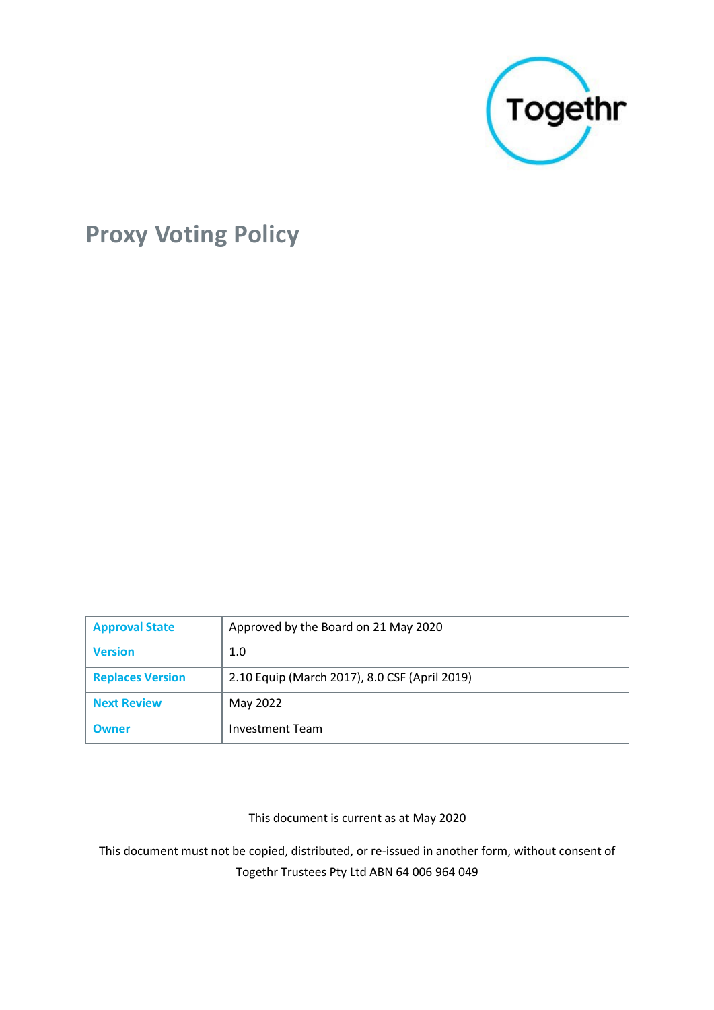

# **Proxy Voting Policy**

| <b>Approval State</b>   | Approved by the Board on 21 May 2020          |
|-------------------------|-----------------------------------------------|
| <b>Version</b>          | 1.0                                           |
| <b>Replaces Version</b> | 2.10 Equip (March 2017), 8.0 CSF (April 2019) |
| <b>Next Review</b>      | May 2022                                      |
| <b>Owner</b>            | <b>Investment Team</b>                        |

This document is current as at May 2020

This document must not be copied, distributed, or re-issued in another form, without consent of Togethr Trustees Pty Ltd ABN 64 006 964 049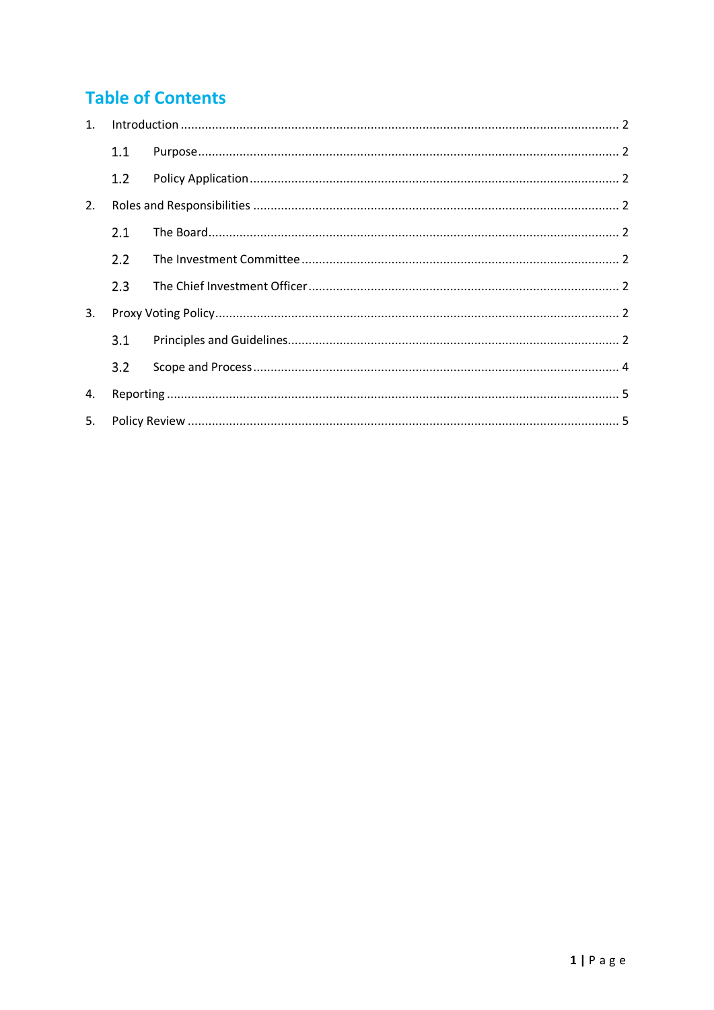# **Table of Contents**

| $1_{\cdot}$ |     |  |
|-------------|-----|--|
|             | 1.1 |  |
|             | 1.2 |  |
| 2.          |     |  |
|             | 2.1 |  |
|             | 2.2 |  |
|             | 2.3 |  |
| 3.          |     |  |
|             | 3.1 |  |
|             | 3.2 |  |
| 4.          |     |  |
| 5.          |     |  |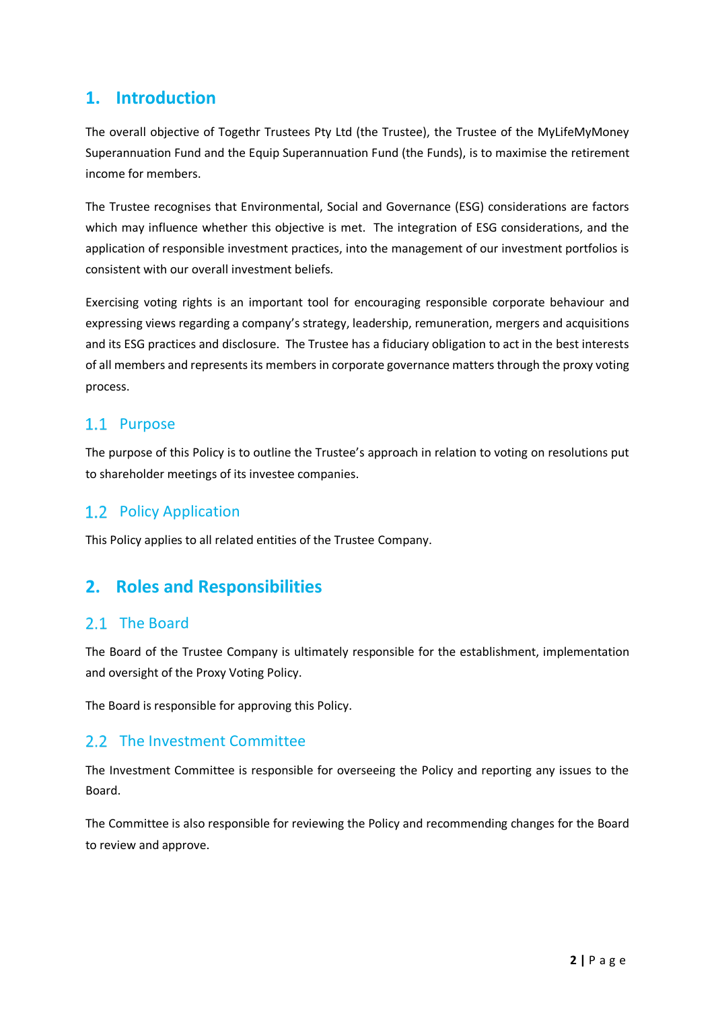# **1. Introduction**

The overall objective of Togethr Trustees Pty Ltd (the Trustee), the Trustee of the MyLifeMyMoney Superannuation Fund and the Equip Superannuation Fund (the Funds), is to maximise the retirement income for members.

The Trustee recognises that Environmental, Social and Governance (ESG) considerations are factors which may influence whether this objective is met. The integration of ESG considerations, and the application of responsible investment practices, into the management of our investment portfolios is consistent with our overall investment beliefs.

Exercising voting rights is an important tool for encouraging responsible corporate behaviour and expressing views regarding a company's strategy, leadership, remuneration, mergers and acquisitions and its ESG practices and disclosure. The Trustee has a fiduciary obligation to act in the best interests of all members and represents its members in corporate governance matters through the proxy voting process.

## 1.1 Purpose

The purpose of this Policy is to outline the Trustee's approach in relation to voting on resolutions put to shareholder meetings of its investee companies.

## 1.2 Policy Application

This Policy applies to all related entities of the Trustee Company.

# **2. Roles and Responsibilities**

#### 2.1 The Board

The Board of the Trustee Company is ultimately responsible for the establishment, implementation and oversight of the Proxy Voting Policy.

The Board is responsible for approving this Policy.

#### 2.2 The Investment Committee

The Investment Committee is responsible for overseeing the Policy and reporting any issues to the Board.

The Committee is also responsible for reviewing the Policy and recommending changes for the Board to review and approve.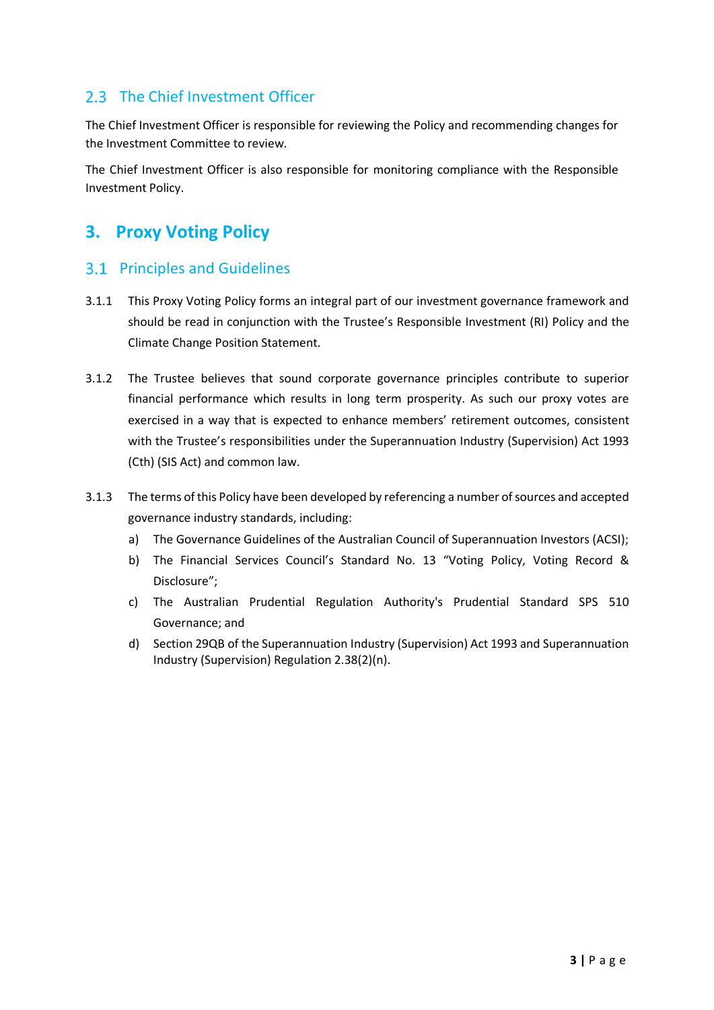## 2.3 The Chief Investment Officer

The Chief Investment Officer is responsible for reviewing the Policy and recommending changes for the Investment Committee to review.

The Chief Investment Officer is also responsible for monitoring compliance with the Responsible Investment Policy.

# **3. Proxy Voting Policy**

#### **3.1 Principles and Guidelines**

- 3.1.1 This Proxy Voting Policy forms an integral part of our investment governance framework and should be read in conjunction with the Trustee's Responsible Investment (RI) Policy and the Climate Change Position Statement.
- 3.1.2 The Trustee believes that sound corporate governance principles contribute to superior financial performance which results in long term prosperity. As such our proxy votes are exercised in a way that is expected to enhance members' retirement outcomes, consistent with the Trustee's responsibilities under the Superannuation Industry (Supervision) Act 1993 (Cth) (SIS Act) and common law.
- 3.1.3 The terms of this Policy have been developed by referencing a number of sources and accepted governance industry standards, including:
	- a) The Governance Guidelines of the Australian Council of Superannuation Investors (ACSI);
	- b) The Financial Services Council's Standard No. 13 "Voting Policy, Voting Record & Disclosure";
	- c) The Australian Prudential Regulation Authority's Prudential Standard SPS 510 Governance; and
	- d) Section 29QB of the Superannuation Industry (Supervision) Act 1993 and Superannuation Industry (Supervision) Regulation 2.38(2)(n).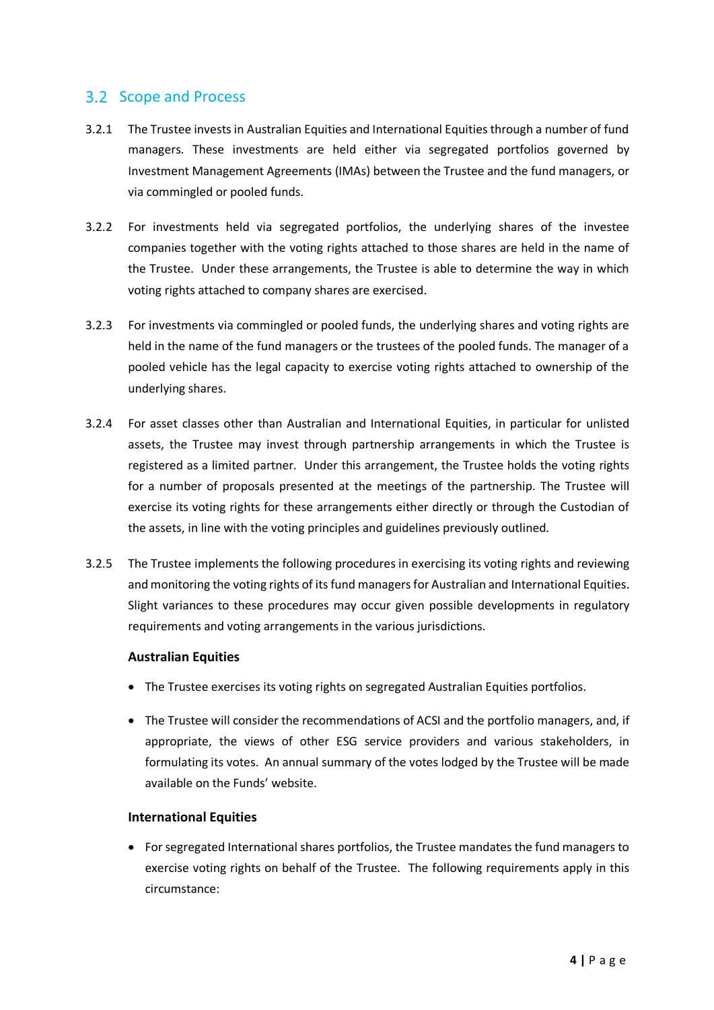#### Scope and Process

- 3.2.1 The Trustee invests in Australian Equities and International Equities through a number of fund managers. These investments are held either via segregated portfolios governed by Investment Management Agreements (IMAs) between the Trustee and the fund managers, or via commingled or pooled funds.
- 3.2.2 For investments held via segregated portfolios, the underlying shares of the investee companies together with the voting rights attached to those shares are held in the name of the Trustee. Under these arrangements, the Trustee is able to determine the way in which voting rights attached to company shares are exercised.
- 3.2.3 For investments via commingled or pooled funds, the underlying shares and voting rights are held in the name of the fund managers or the trustees of the pooled funds. The manager of a pooled vehicle has the legal capacity to exercise voting rights attached to ownership of the underlying shares.
- 3.2.4 For asset classes other than Australian and International Equities, in particular for unlisted assets, the Trustee may invest through partnership arrangements in which the Trustee is registered as a limited partner. Under this arrangement, the Trustee holds the voting rights for a number of proposals presented at the meetings of the partnership. The Trustee will exercise its voting rights for these arrangements either directly or through the Custodian of the assets, in line with the voting principles and guidelines previously outlined.
- 3.2.5 The Trustee implements the following procedures in exercising its voting rights and reviewing and monitoring the voting rights of its fund managers for Australian and International Equities. Slight variances to these procedures may occur given possible developments in regulatory requirements and voting arrangements in the various jurisdictions.

#### **Australian Equities**

- The Trustee exercises its voting rights on segregated Australian Equities portfolios.
- The Trustee will consider the recommendations of ACSI and the portfolio managers, and, if appropriate, the views of other ESG service providers and various stakeholders, in formulating its votes. An annual summary of the votes lodged by the Trustee will be made available on the Funds' website.

#### **International Equities**

• For segregated International shares portfolios, the Trustee mandates the fund managers to exercise voting rights on behalf of the Trustee. The following requirements apply in this circumstance: